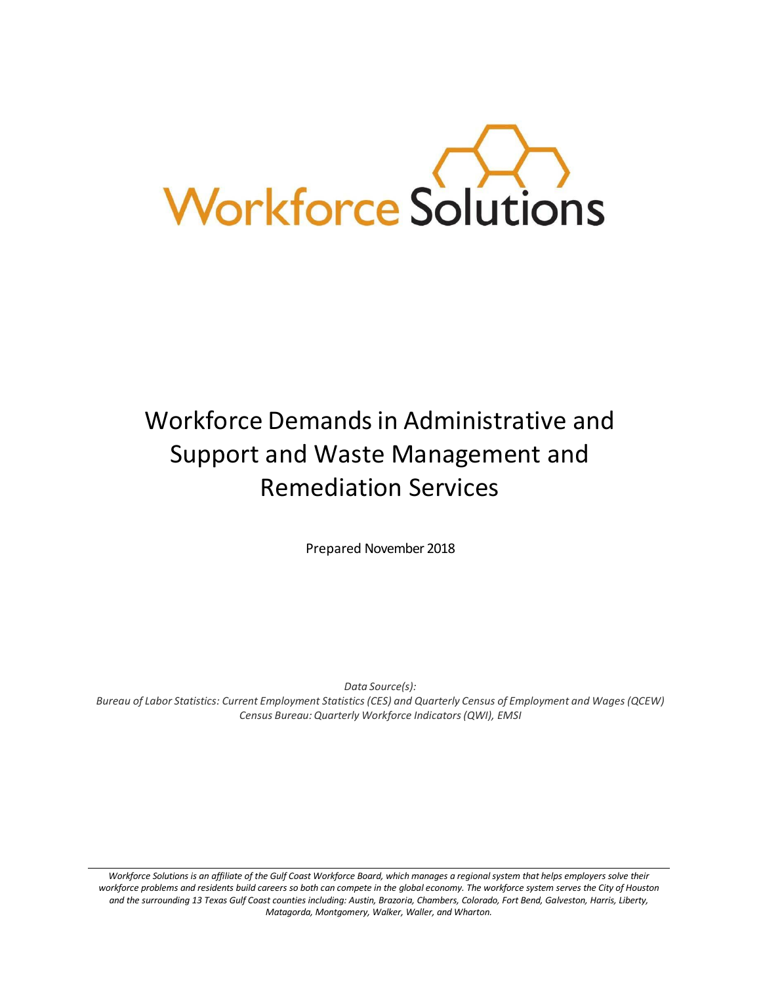

# Workforce Demandsin Administrative and Support and Waste Management and Remediation Services

Prepared November 2018

*Data Source(s):*

Bureau of Labor Statistics: Current Employment Statistics (CES) and Quarterly Census of Employment and Wages (QCEW) *Census Bureau: Quarterly Workforce Indicators(QWI), EMSI*

Workforce Solutions is an affiliate of the Gulf Coast Workforce Board, which manages a regional system that helps employers solve their workforce problems and residents build careers so both can compete in the global economy. The workforce system serves the City of Houston *and the surrounding 13 Texas Gulf Coast counties including: Austin, Brazoria, Chambers, Colorado, Fort Bend, Galveston, Harris, Liberty, Matagorda, Montgomery, Walker, Waller, and Wharton.*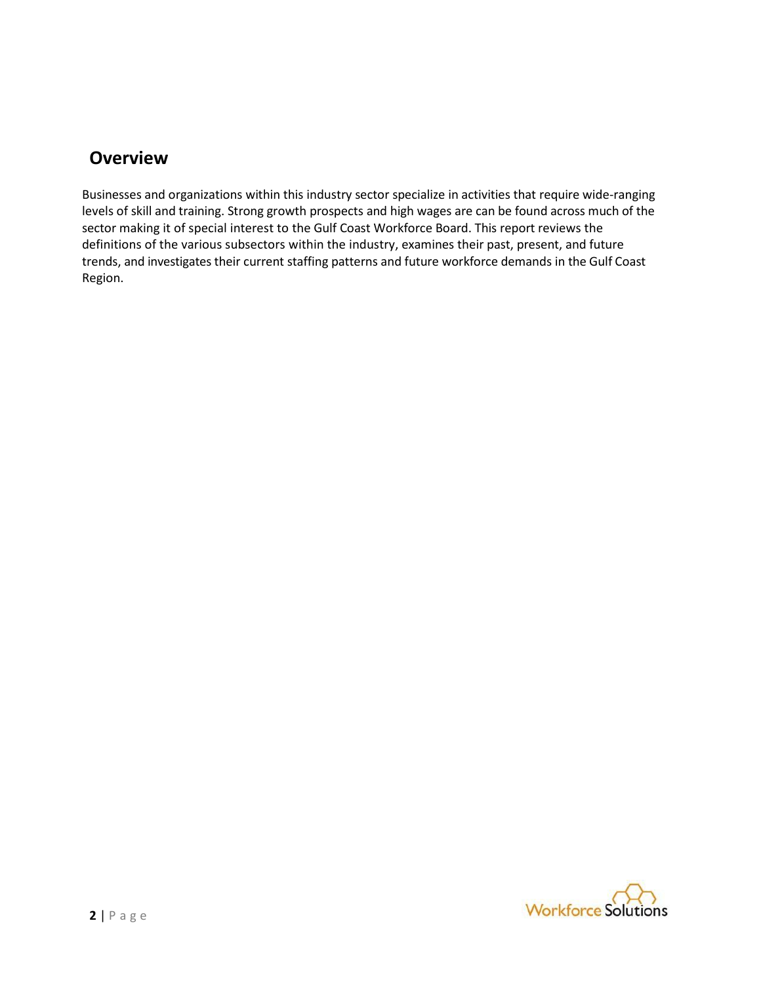## **Overview**

Businesses and organizations within this industry sector specialize in activities that require wide-ranging levels of skill and training. Strong growth prospects and high wages are can be found across much of the sector making it of special interest to the Gulf Coast Workforce Board. This report reviews the definitions of the various subsectors within the industry, examines their past, present, and future trends, and investigates their current staffing patterns and future workforce demands in the Gulf Coast Region.

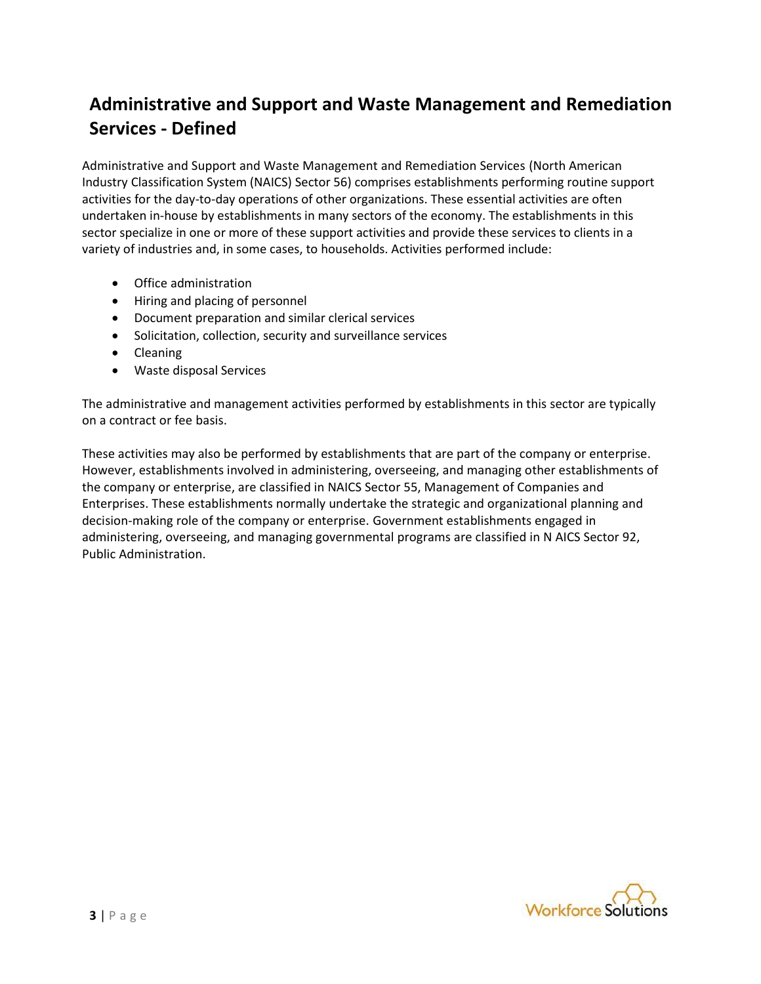## **Administrative and Support and Waste Management and Remediation Services - Defined**

Administrative and Support and Waste Management and Remediation Services (North American Industry Classification System (NAICS) Sector 56) comprises establishments performing routine support activities for the day-to-day operations of other organizations. These essential activities are often undertaken in-house by establishments in many sectors of the economy. The establishments in this sector specialize in one or more of these support activities and provide these services to clients in a variety of industries and, in some cases, to households. Activities performed include:

- Office administration
- Hiring and placing of personnel
- Document preparation and similar clerical services
- Solicitation, collection, security and surveillance services
- Cleaning
- Waste disposal Services

The administrative and management activities performed by establishments in this sector are typically on a contract or fee basis.

These activities may also be performed by establishments that are part of the company or enterprise. However, establishments involved in administering, overseeing, and managing other establishments of the company or enterprise, are classified in NAICS Sector 55, Management of Companies and Enterprises. These establishments normally undertake the strategic and organizational planning and decision-making role of the company or enterprise. Government establishments engaged in administering, overseeing, and managing governmental programs are classified in N AICS Sector 92, Public Administration.

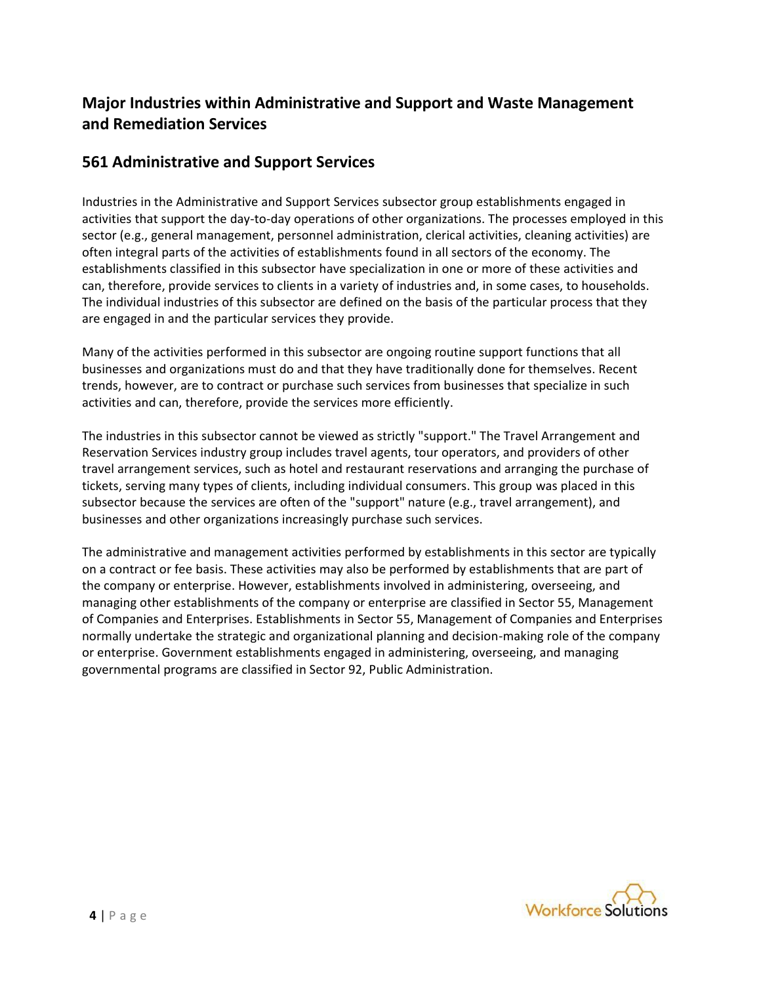### **Major Industries within Administrative and Support and Waste Management and Remediation Services**

#### **561 Administrative and Support Services**

Industries in the Administrative and Support Services subsector group establishments engaged in activities that support the day-to-day operations of other organizations. The processes employed in this sector (e.g., general management, personnel administration, clerical activities, cleaning activities) are often integral parts of the activities of establishments found in all sectors of the economy. The establishments classified in this subsector have specialization in one or more of these activities and can, therefore, provide services to clients in a variety of industries and, in some cases, to households. The individual industries of this subsector are defined on the basis of the particular process that they are engaged in and the particular services they provide.

Many of the activities performed in this subsector are ongoing routine support functions that all businesses and organizations must do and that they have traditionally done for themselves. Recent trends, however, are to contract or purchase such services from businesses that specialize in such activities and can, therefore, provide the services more efficiently.

The industries in this subsector cannot be viewed as strictly "support." The Travel Arrangement and Reservation Services industry group includes travel agents, tour operators, and providers of other travel arrangement services, such as hotel and restaurant reservations and arranging the purchase of tickets, serving many types of clients, including individual consumers. This group was placed in this subsector because the services are often of the "support" nature (e.g., travel arrangement), and businesses and other organizations increasingly purchase such services.

The administrative and management activities performed by establishments in this sector are typically on a contract or fee basis. These activities may also be performed by establishments that are part of the company or enterprise. However, establishments involved in administering, overseeing, and managing other establishments of the company or enterprise are classified in Sector 55, Management of Companies and Enterprises. Establishments in Sector 55, Management of Companies and Enterprises normally undertake the strategic and organizational planning and decision-making role of the company or enterprise. Government establishments engaged in administering, overseeing, and managing governmental programs are classified in Sector 92, Public Administration.

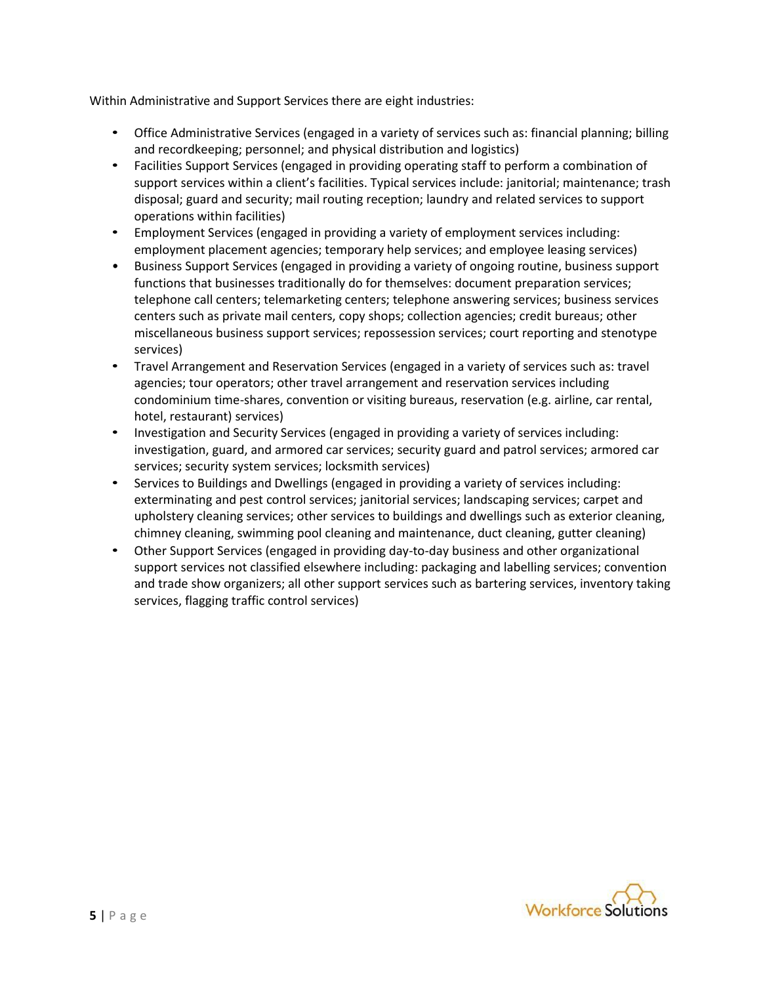Within Administrative and Support Services there are eight industries:

- Office Administrative Services (engaged in a variety of services such as: financial planning; billing and recordkeeping; personnel; and physical distribution and logistics)
- Facilities Support Services (engaged in providing operating staff to perform a combination of support services within a client's facilities. Typical services include: janitorial; maintenance; trash disposal; guard and security; mail routing reception; laundry and related services to support operations within facilities)
- Employment Services (engaged in providing a variety of employment services including: employment placement agencies; temporary help services; and employee leasing services)
- Business Support Services (engaged in providing a variety of ongoing routine, business support functions that businesses traditionally do for themselves: document preparation services; telephone call centers; telemarketing centers; telephone answering services; business services centers such as private mail centers, copy shops; collection agencies; credit bureaus; other miscellaneous business support services; repossession services; court reporting and stenotype services)
- Travel Arrangement and Reservation Services (engaged in a variety of services such as: travel agencies; tour operators; other travel arrangement and reservation services including condominium time-shares, convention or visiting bureaus, reservation (e.g. airline, car rental, hotel, restaurant) services)
- Investigation and Security Services (engaged in providing a variety of services including: investigation, guard, and armored car services; security guard and patrol services; armored car services; security system services; locksmith services)
- Services to Buildings and Dwellings (engaged in providing a variety of services including: exterminating and pest control services; janitorial services; landscaping services; carpet and upholstery cleaning services; other services to buildings and dwellings such as exterior cleaning, chimney cleaning, swimming pool cleaning and maintenance, duct cleaning, gutter cleaning)
- Other Support Services (engaged in providing day-to-day business and other organizational support services not classified elsewhere including: packaging and labelling services; convention and trade show organizers; all other support services such as bartering services, inventory taking services, flagging traffic control services)

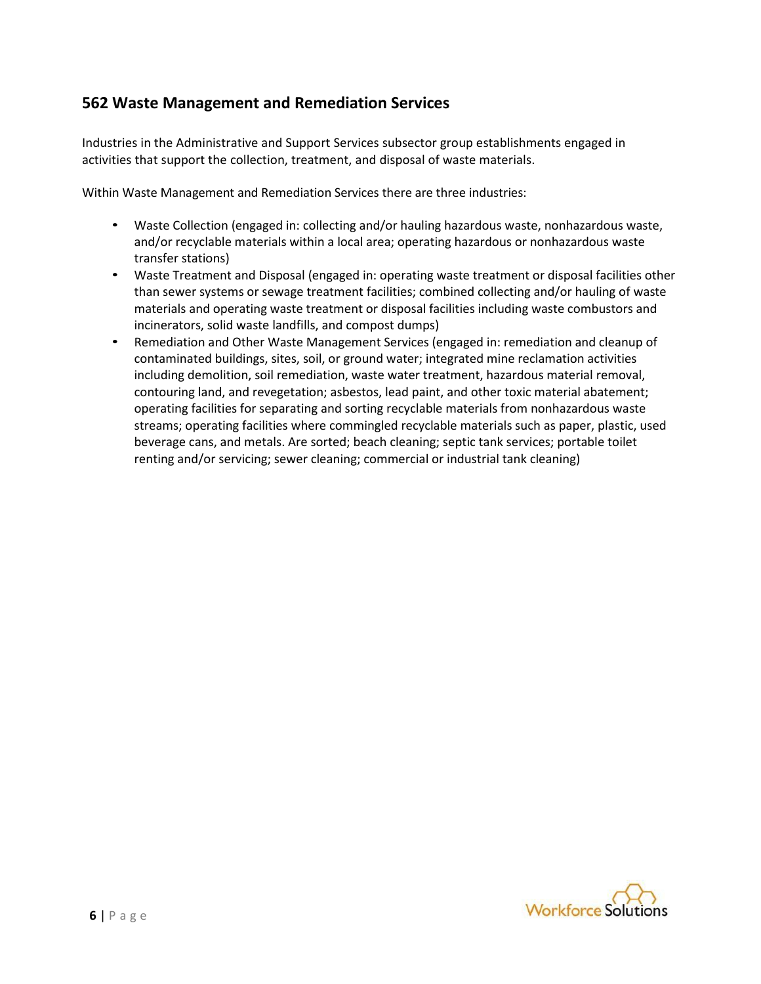#### **562 Waste Management and Remediation Services**

Industries in the Administrative and Support Services subsector group establishments engaged in activities that support the collection, treatment, and disposal of waste materials.

Within Waste Management and Remediation Services there are three industries:

- Waste Collection (engaged in: collecting and/or hauling hazardous waste, nonhazardous waste, and/or recyclable materials within a local area; operating hazardous or nonhazardous waste transfer stations)
- Waste Treatment and Disposal (engaged in: operating waste treatment or disposal facilities other than sewer systems or sewage treatment facilities; combined collecting and/or hauling of waste materials and operating waste treatment or disposal facilities including waste combustors and incinerators, solid waste landfills, and compost dumps)
- Remediation and Other Waste Management Services (engaged in: remediation and cleanup of contaminated buildings, sites, soil, or ground water; integrated mine reclamation activities including demolition, soil remediation, waste water treatment, hazardous material removal, contouring land, and revegetation; asbestos, lead paint, and other toxic material abatement; operating facilities for separating and sorting recyclable materials from nonhazardous waste streams; operating facilities where commingled recyclable materials such as paper, plastic, used beverage cans, and metals. Are sorted; beach cleaning; septic tank services; portable toilet renting and/or servicing; sewer cleaning; commercial or industrial tank cleaning)

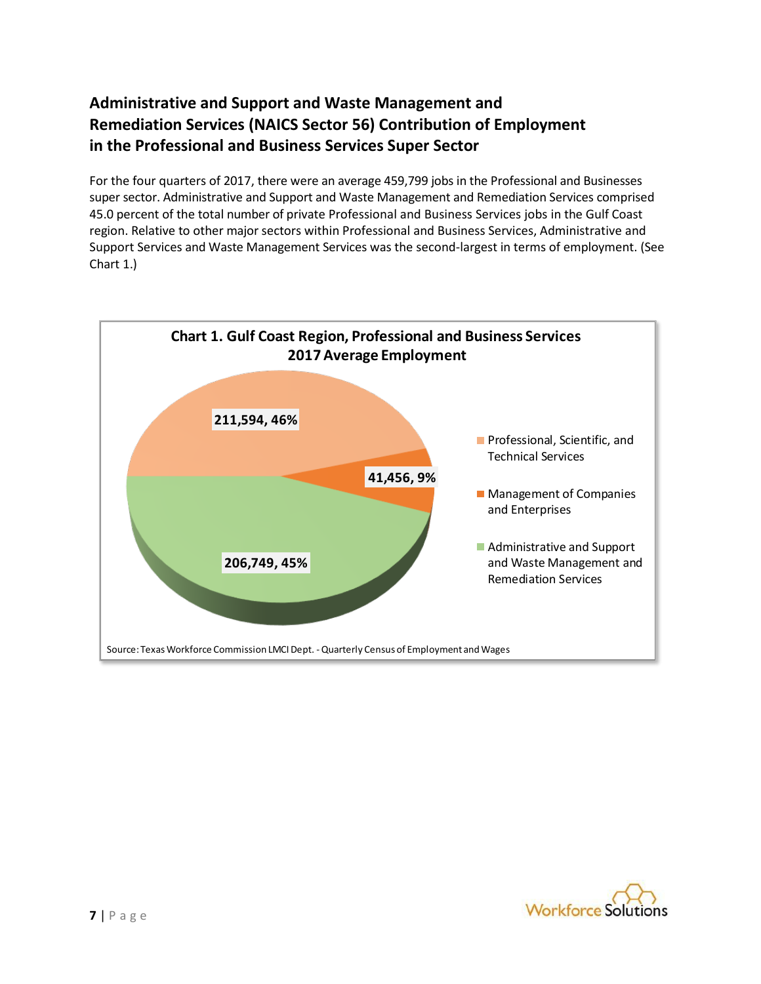## **Administrative and Support and Waste Management and Remediation Services (NAICS Sector 56) Contribution of Employment in the Professional and Business Services Super Sector**

For the four quarters of 2017, there were an average 459,799 jobs in the Professional and Businesses super sector. Administrative and Support and Waste Management and Remediation Services comprised 45.0 percent of the total number of private Professional and Business Services jobs in the Gulf Coast region. Relative to other major sectors within Professional and Business Services, Administrative and Support Services and Waste Management Services was the second-largest in terms of employment. (See Chart 1.)



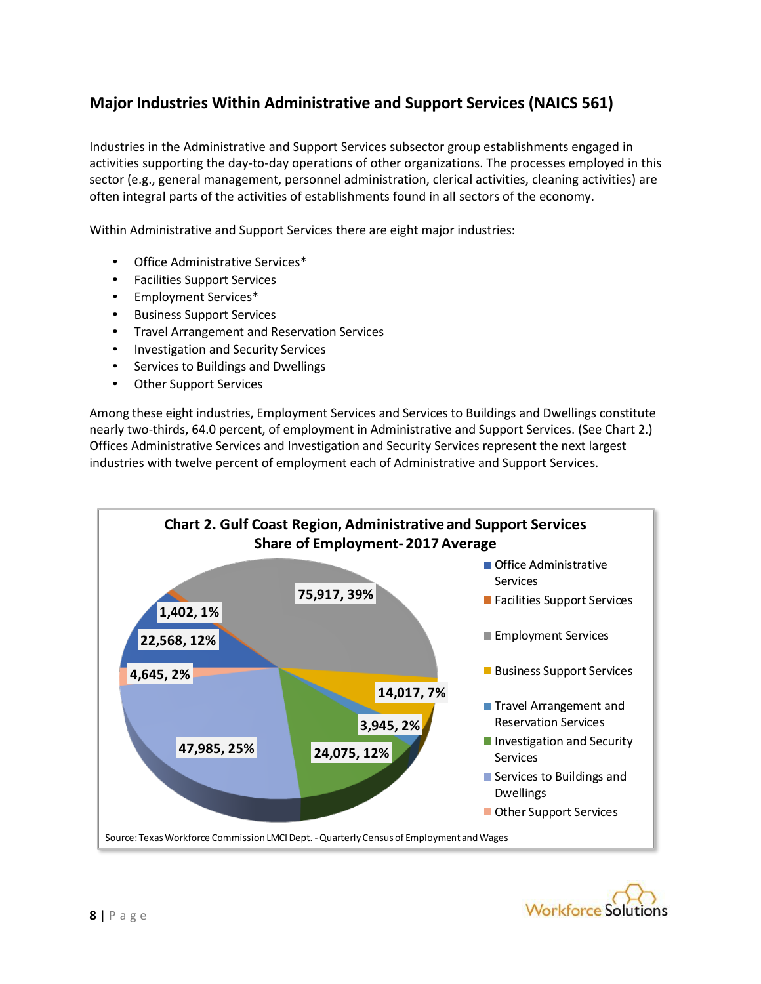### **Major Industries Within Administrative and Support Services (NAICS 561)**

Industries in the Administrative and Support Services subsector group establishments engaged in activities supporting the day-to-day operations of other organizations. The processes employed in this sector (e.g., general management, personnel administration, clerical activities, cleaning activities) are often integral parts of the activities of establishments found in all sectors of the economy.

Within Administrative and Support Services there are eight major industries:

- Office Administrative Services\*
- Facilities Support Services
- Employment Services\*
- Business Support Services
- Travel Arrangement and Reservation Services
- Investigation and Security Services
- Services to Buildings and Dwellings
- **Other Support Services**

Among these eight industries, Employment Services and Services to Buildings and Dwellings constitute nearly two-thirds, 64.0 percent, of employment in Administrative and Support Services. (See Chart 2.) Offices Administrative Services and Investigation and Security Services represent the next largest industries with twelve percent of employment each of Administrative and Support Services.



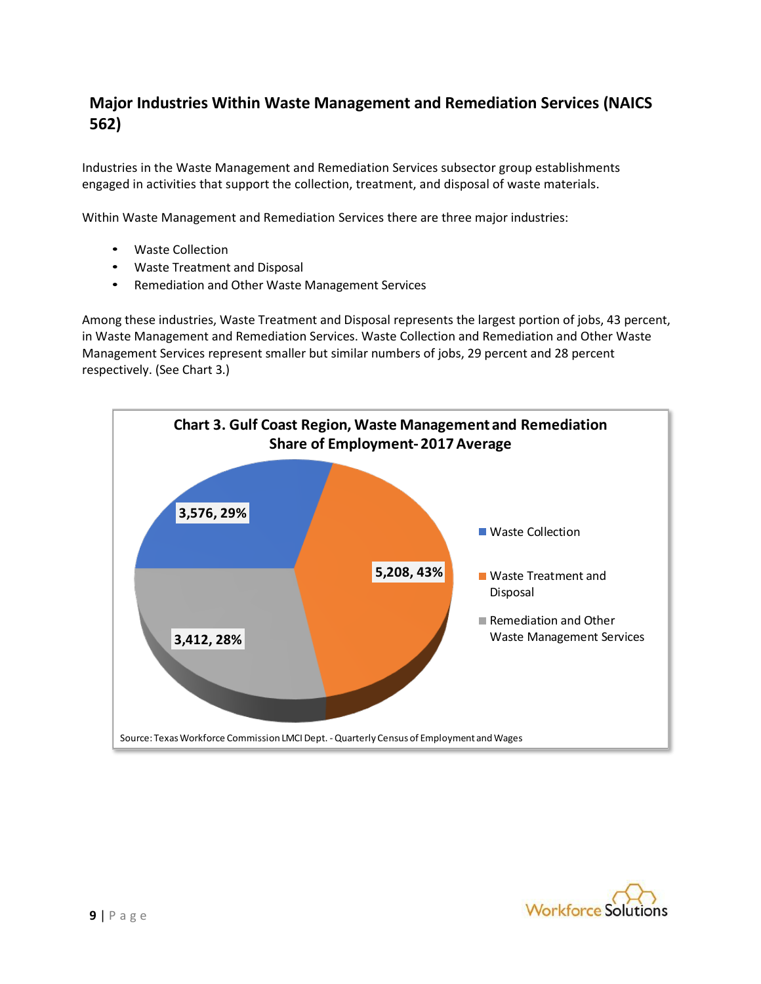### **Major Industries Within Waste Management and Remediation Services (NAICS 562)**

Industries in the Waste Management and Remediation Services subsector group establishments engaged in activities that support the collection, treatment, and disposal of waste materials.

Within Waste Management and Remediation Services there are three major industries:

- Waste Collection
- Waste Treatment and Disposal
- Remediation and Other Waste Management Services

Among these industries, Waste Treatment and Disposal represents the largest portion of jobs, 43 percent, in Waste Management and Remediation Services. Waste Collection and Remediation and Other Waste Management Services represent smaller but similar numbers of jobs, 29 percent and 28 percent respectively. (See Chart 3.)



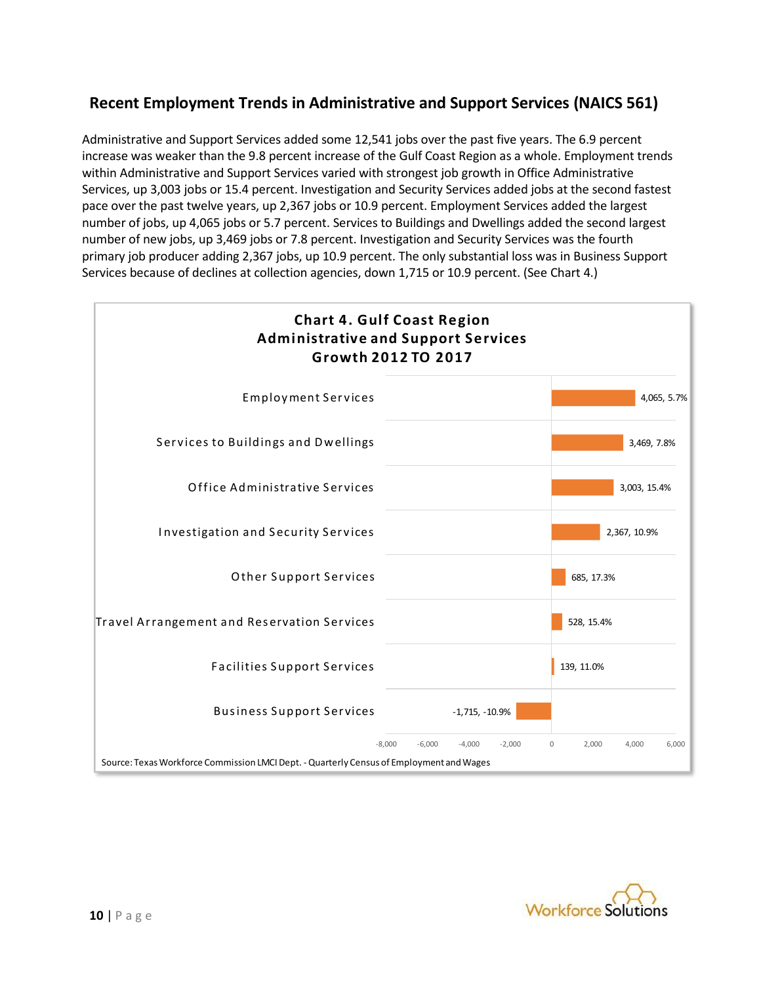### **Recent Employment Trends in Administrative and Support Services (NAICS 561)**

Administrative and Support Services added some 12,541 jobs over the past five years. The 6.9 percent increase was weaker than the 9.8 percent increase of the Gulf Coast Region as a whole. Employment trends within Administrative and Support Services varied with strongest job growth in Office Administrative Services, up 3,003 jobs or 15.4 percent. Investigation and Security Services added jobs at the second fastest pace over the past twelve years, up 2,367 jobs or 10.9 percent. Employment Services added the largest number of jobs, up 4,065 jobs or 5.7 percent. Services to Buildings and Dwellings added the second largest number of new jobs, up 3,469 jobs or 7.8 percent. Investigation and Security Services was the fourth primary job producer adding 2,367 jobs, up 10.9 percent. The only substantial loss was in Business Support Services because of declines at collection agencies, down 1,715 or 10.9 percent. (See Chart 4.)



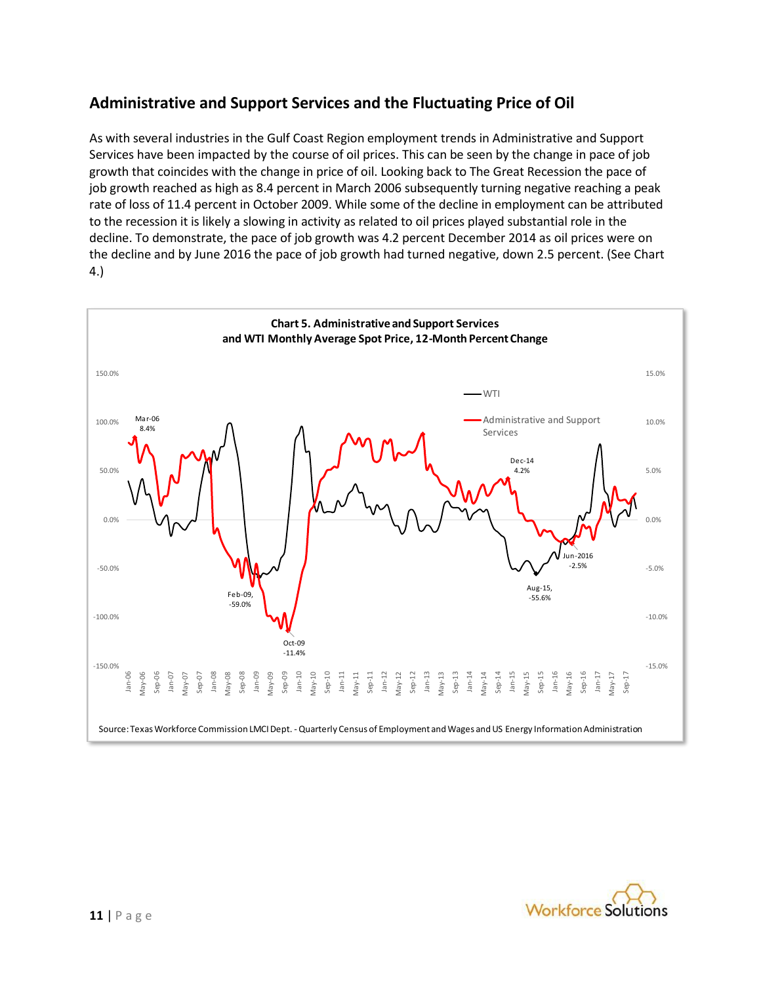### **Administrative and Support Services and the Fluctuating Price of Oil**

As with several industries in the Gulf Coast Region employment trends in Administrative and Support Services have been impacted by the course of oil prices. This can be seen by the change in pace of job growth that coincides with the change in price of oil. Looking back to The Great Recession the pace of job growth reached as high as 8.4 percent in March 2006 subsequently turning negative reaching a peak rate of loss of 11.4 percent in October 2009. While some of the decline in employment can be attributed to the recession it is likely a slowing in activity as related to oil prices played substantial role in the decline. To demonstrate, the pace of job growth was 4.2 percent December 2014 as oil prices were on the decline and by June 2016 the pace of job growth had turned negative, down 2.5 percent. (See Chart 4.)



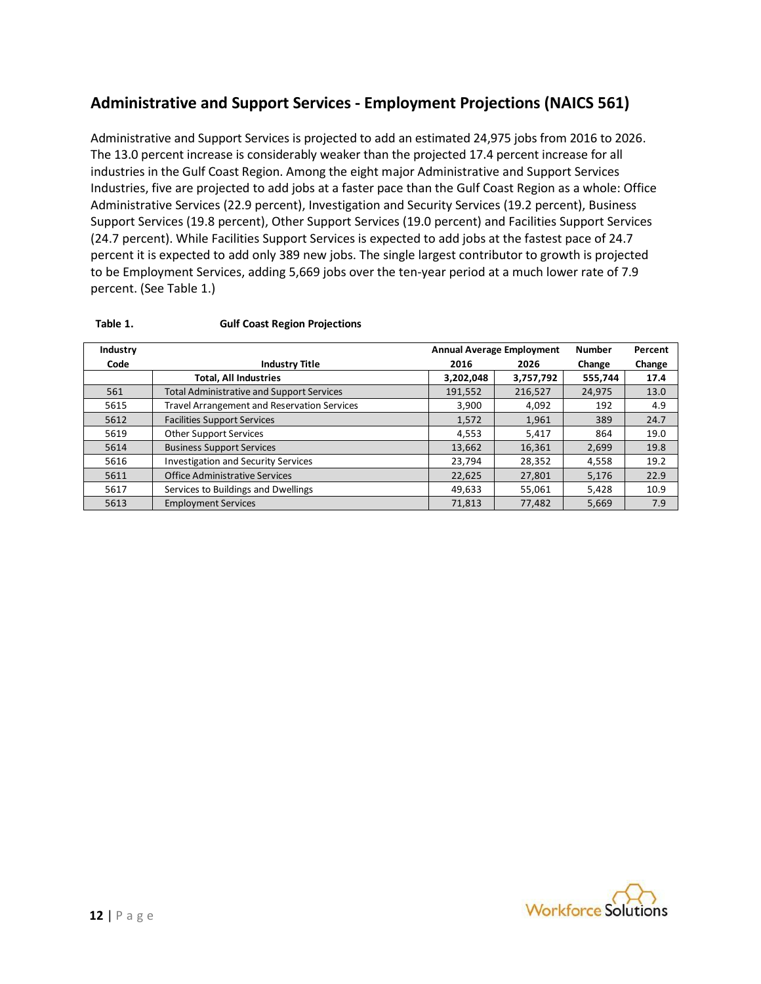### **Administrative and Support Services - Employment Projections (NAICS 561)**

Administrative and Support Services is projected to add an estimated 24,975 jobs from 2016 to 2026. The 13.0 percent increase is considerably weaker than the projected 17.4 percent increase for all industries in the Gulf Coast Region. Among the eight major Administrative and Support Services Industries, five are projected to add jobs at a faster pace than the Gulf Coast Region as a whole: Office Administrative Services (22.9 percent), Investigation and Security Services (19.2 percent), Business Support Services (19.8 percent), Other Support Services (19.0 percent) and Facilities Support Services (24.7 percent). While Facilities Support Services is expected to add jobs at the fastest pace of 24.7 percent it is expected to add only 389 new jobs. The single largest contributor to growth is projected to be Employment Services, adding 5,669 jobs over the ten-year period at a much lower rate of 7.9 percent. (See Table 1.)

| Industry |                                                    |           | <b>Annual Average Employment</b> | <b>Number</b> | Percent |
|----------|----------------------------------------------------|-----------|----------------------------------|---------------|---------|
| Code     | <b>Industry Title</b>                              | 2016      | 2026                             | Change        | Change  |
|          | <b>Total, All Industries</b>                       | 3,202,048 | 3,757,792                        | 555.744       | 17.4    |
| 561      | <b>Total Administrative and Support Services</b>   | 191,552   | 216,527                          | 24,975        | 13.0    |
| 5615     | <b>Travel Arrangement and Reservation Services</b> | 3,900     | 4,092                            | 192           | 4.9     |
| 5612     | <b>Facilities Support Services</b>                 | 1,572     | 1,961                            | 389           | 24.7    |
| 5619     | Other Support Services                             | 4,553     | 5,417                            | 864           | 19.0    |
| 5614     | <b>Business Support Services</b>                   | 13,662    | 16,361                           | 2,699         | 19.8    |
| 5616     | <b>Investigation and Security Services</b>         | 23,794    | 28,352                           | 4,558         | 19.2    |
| 5611     | <b>Office Administrative Services</b>              | 22,625    | 27,801                           | 5,176         | 22.9    |
| 5617     | Services to Buildings and Dwellings                | 49,633    | 55,061                           | 5,428         | 10.9    |
| 5613     | <b>Employment Services</b>                         | 71.813    | 77,482                           | 5,669         | 7.9     |

#### **Table 1. Gulf Coast Region Projections**

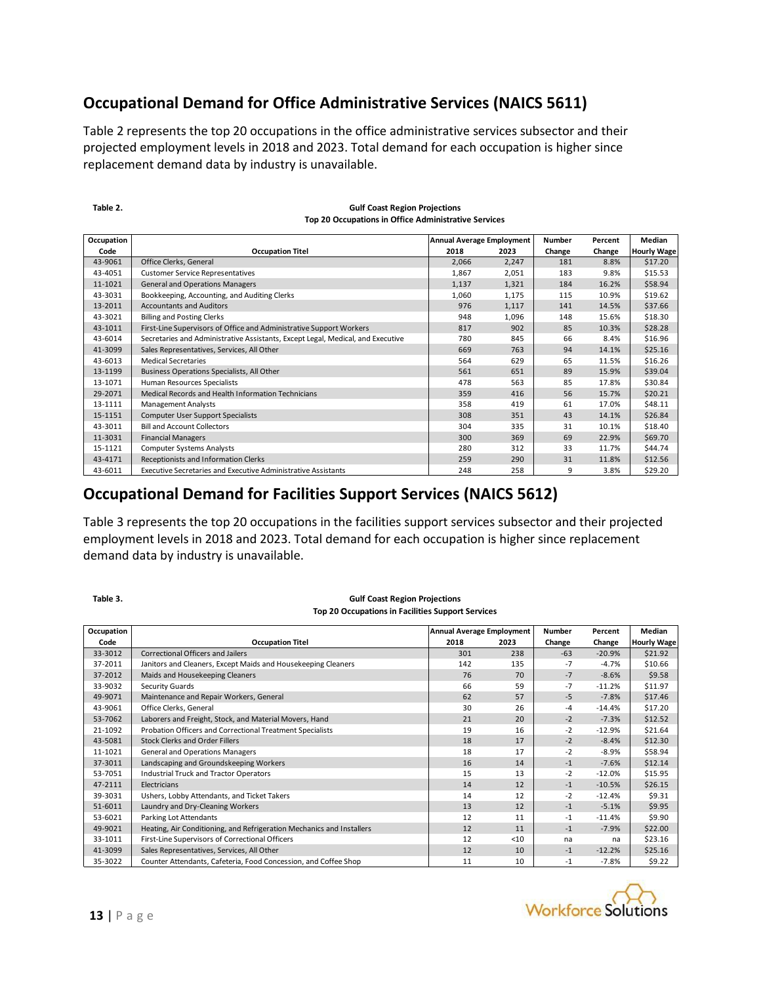### **Occupational Demand for Office Administrative Services (NAICS 5611)**

Table 2 represents the top 20 occupations in the office administrative services subsector and their projected employment levels in 2018 and 2023. Total demand for each occupation is higher since replacement demand data by industry is unavailable.

| Occupation |                                                                                 | <b>Annual Average Employment</b> |                         | Number | Percent | Median             |
|------------|---------------------------------------------------------------------------------|----------------------------------|-------------------------|--------|---------|--------------------|
| Code       | <b>Occupation Titel</b>                                                         | 2018                             | 2023                    | Change | Change  | <b>Hourly Wage</b> |
| 43-9061    | Office Clerks, General                                                          | 2,066                            | 2,247                   | 181    | 8.8%    | \$17.20            |
| 43-4051    | <b>Customer Service Representatives</b>                                         | 1,867                            | 2,051                   | 183    | 9.8%    | \$15.53            |
| 11-1021    | <b>General and Operations Managers</b>                                          | 1,137                            | 1,321                   | 184    | 16.2%   | \$58.94            |
| 43-3031    | Bookkeeping, Accounting, and Auditing Clerks                                    | 1,060                            | 1,175                   | 115    | 10.9%   | \$19.62            |
| 13-2011    | <b>Accountants and Auditors</b>                                                 | 976                              | 1,117                   | 141    | 14.5%   | \$37.66            |
| 43-3021    | <b>Billing and Posting Clerks</b>                                               | 948                              | 1,096                   | 148    | 15.6%   | \$18.30            |
| 43-1011    | First-Line Supervisors of Office and Administrative Support Workers             | 817                              | 902                     | 85     | 10.3%   | \$28.28            |
| 43-6014    | Secretaries and Administrative Assistants, Except Legal, Medical, and Executive | 780                              | 845                     | 66     | 8.4%    | \$16.96            |
| 41-3099    | Sales Representatives, Services, All Other                                      | 669                              | 763                     | 94     | 14.1%   | \$25.16            |
| 43-6013    | <b>Medical Secretaries</b>                                                      | 564                              | 629                     | 65     | 11.5%   | \$16.26            |
| 13-1199    | Business Operations Specialists, All Other                                      | 561                              | 651                     | 89     | 15.9%   | \$39.04            |
| 13-1071    | Human Resources Specialists                                                     | 478                              | 563                     | 85     | 17.8%   | \$30.84            |
| 29-2071    | Medical Records and Health Information Technicians                              | 359                              | 416                     | 56     | 15.7%   | \$20.21            |
| 13-1111    | <b>Management Analysts</b>                                                      | 358                              | 419                     | 61     | 17.0%   | \$48.11            |
| 15-1151    | <b>Computer User Support Specialists</b>                                        | 308                              | 351                     | 43     | 14.1%   | \$26.84            |
| 43-3011    | <b>Bill and Account Collectors</b>                                              | 304                              | 335                     | 31     | 10.1%   | \$18.40            |
| 11-3031    | <b>Financial Managers</b>                                                       | 300                              | 369                     | 69     | 22.9%   | \$69.70            |
| 15-1121    | <b>Computer Systems Analysts</b>                                                | 280                              | 312                     | 33     | 11.7%   | \$44.74            |
| 43-4171    | Receptionists and Information Clerks                                            | 259                              | 290                     | 31     | 11.8%   | \$12.56            |
| 43-6011    | Executive Secretaries and Executive Administrative Assistants                   | 248                              | 258                     | 9      | 3.8%    | \$29.20            |
|            | $\cdot$<br>. .<br>$\overline{\phantom{a}}$<br>. .                               |                                  | $1 + 1 + 1 - 1 - 1 - 1$ |        |         |                    |

#### **Gulf Coast Region Projections Top 20 Occupations in Office Administrative Services**

#### **Occupational Demand for Facilities Support Services (NAICS 5612)**

Table 3 represents the top 20 occupations in the facilities support services subsector and their projected employment levels in 2018 and 2023. Total demand for each occupation is higher since replacement demand data by industry is unavailable.

| Table 3.   | <b>Gulf Coast Region Projections</b><br><b>Top 20 Occupations in Facilities Support Services</b> |                                  |      |        |          |                    |
|------------|--------------------------------------------------------------------------------------------------|----------------------------------|------|--------|----------|--------------------|
| Occupation |                                                                                                  | <b>Annual Average Employment</b> |      | Number | Percent  | Median             |
| Code       | <b>Occupation Titel</b>                                                                          | 2018                             | 2023 | Change | Change   | <b>Hourly Wage</b> |
| 33-3012    | <b>Correctional Officers and Jailers</b>                                                         | 301                              | 238  | $-63$  | $-20.9%$ | \$21.92            |
| 37-2011    | Janitors and Cleaners, Except Maids and Housekeeping Cleaners                                    | 142                              | 135  | $-7$   | $-4.7%$  | \$10.66            |
| 37-2012    | Maids and Housekeeping Cleaners                                                                  | 76                               | 70   | $-7$   | $-8.6%$  | \$9.58             |
| 33-9032    | Security Guards                                                                                  | 66                               | 59   | $-7$   | $-11.2%$ | \$11.97            |
| 49-9071    | Maintenance and Repair Workers, General                                                          | 62                               | 57   | $-5$   | $-7.8%$  | \$17.46            |
| 43-9061    | Office Clerks, General                                                                           | 30                               | 26   | $-4$   | $-14.4%$ | \$17.20            |
| 53-7062    | Laborers and Freight, Stock, and Material Movers, Hand                                           | 21                               | 20   | $-2$   | $-7.3%$  | \$12.52            |
| 21-1092    | Probation Officers and Correctional Treatment Specialists                                        | 19                               | 16   | $-2$   | $-12.9%$ | \$21.64            |
| 43-5081    | Stock Clerks and Order Fillers                                                                   | 18                               | 17   | $-2$   | $-8.4%$  | \$12.30            |
| 11-1021    | <b>General and Operations Managers</b>                                                           | 18                               | 17   | $-2$   | $-8.9%$  | \$58.94            |
| 37-3011    | Landscaping and Groundskeeping Workers                                                           | 16                               | 14   | $-1$   | $-7.6%$  | \$12.14            |
| 53-7051    | <b>Industrial Truck and Tractor Operators</b>                                                    | 15                               | 13   | $-2$   | $-12.0%$ | \$15.95            |
| 47-2111    | Electricians                                                                                     | 14                               | 12   | $-1$   | $-10.5%$ | \$26.15            |
| 39-3031    | Ushers, Lobby Attendants, and Ticket Takers                                                      | 14                               | 12   | $-2$   | $-12.4%$ | \$9.31             |
| 51-6011    | Laundry and Dry-Cleaning Workers                                                                 | 13                               | 12   | $-1$   | $-5.1%$  | \$9.95             |
| 53-6021    | <b>Parking Lot Attendants</b>                                                                    | 12                               | 11   | $-1$   | $-11.4%$ | \$9.90             |
| 49-9021    | Heating, Air Conditioning, and Refrigeration Mechanics and Installers                            | 12                               | 11   | $-1$   | $-7.9%$  | \$22.00            |
| 33-1011    | First-Line Supervisors of Correctional Officers                                                  | 12                               | $10$ | na     | na       | \$23.16            |
| 41-3099    | Sales Representatives, Services, All Other                                                       | 12                               | 10   | $-1$   | $-12.2%$ | \$25.16            |
| 35-3022    | Counter Attendants, Cafeteria, Food Concession, and Coffee Shop                                  | 11                               | 10   | $-1$   | $-7.8%$  | \$9.22             |
|            |                                                                                                  |                                  |      |        |          |                    |



**Table 2.**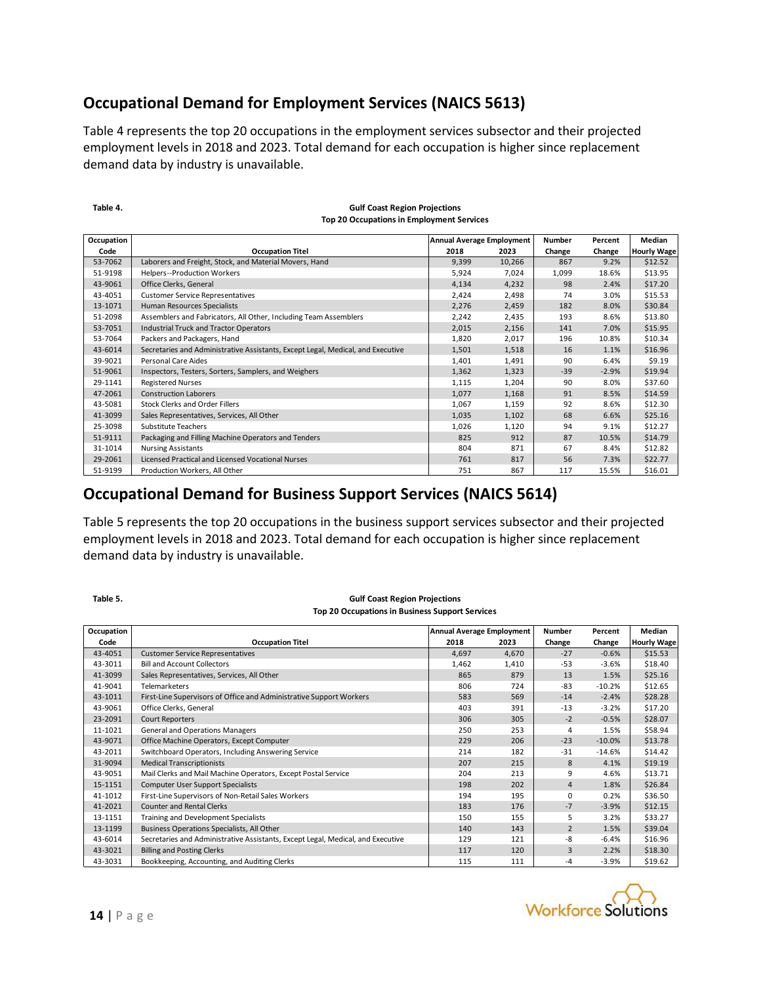#### **Occupational Demand for Employment Services (NAICS 5613)**

Table 4 represents the top 20 occupations in the employment services subsector and their projected employment levels in 2018 and 2023. Total demand for each occupation is higher since replacement demand data by industry is unavailable.

| Table 4.   | <b>Gulf Coast Region Projections</b><br>Top 20 Occupations in Employment Services |                                  |        |               |         |                    |
|------------|-----------------------------------------------------------------------------------|----------------------------------|--------|---------------|---------|--------------------|
| Occupation |                                                                                   | <b>Annual Average Employment</b> |        | <b>Number</b> | Percent | Median             |
| Code       | <b>Occupation Titel</b>                                                           | 2018                             | 2023   | Change        | Change  | <b>Hourly Wage</b> |
| 53-7062    | Laborers and Freight, Stock, and Material Movers, Hand                            | 9,399                            | 10,266 | 867           | 9.2%    | \$12.52            |
| 51-9198    | Helpers--Production Workers                                                       | 5,924                            | 7,024  | 1,099         | 18.6%   | \$13.95            |
| 43-9061    | Office Clerks, General                                                            | 4,134                            | 4,232  | 98            | 2.4%    | \$17.20            |
| 43-4051    | <b>Customer Service Representatives</b>                                           | 2,424                            | 2,498  | 74            | 3.0%    | \$15.53            |
| 13-1071    | Human Resources Specialists                                                       | 2,276                            | 2,459  | 182           | 8.0%    | \$30.84            |
| 51-2098    | Assemblers and Fabricators, All Other, Including Team Assemblers                  | 2,242                            | 2,435  | 193           | 8.6%    | \$13.80            |
| 53-7051    | <b>Industrial Truck and Tractor Operators</b>                                     | 2,015                            | 2,156  | 141           | 7.0%    | \$15.95            |
| 53-7064    | Packers and Packagers, Hand                                                       | 1,820                            | 2,017  | 196           | 10.8%   | \$10.34            |
| 43-6014    | Secretaries and Administrative Assistants, Except Legal, Medical, and Executive   | 1,501                            | 1,518  | 16            | 1.1%    | \$16.96            |
| 39-9021    | Personal Care Aides                                                               | 1,401                            | 1,491  | 90            | 6.4%    | \$9.19             |
| 51-9061    | Inspectors, Testers, Sorters, Samplers, and Weighers                              | 1,362                            | 1,323  | $-39$         | $-2.9%$ | \$19.94            |
| 29-1141    | <b>Registered Nurses</b>                                                          | 1,115                            | 1,204  | 90            | 8.0%    | \$37.60            |
| 47-2061    | <b>Construction Laborers</b>                                                      | 1,077                            | 1,168  | 91            | 8.5%    | \$14.59            |
| 43-5081    | <b>Stock Clerks and Order Fillers</b>                                             | 1,067                            | 1,159  | 92            | 8.6%    | \$12.30            |
| 41-3099    | Sales Representatives, Services, All Other                                        | 1,035                            | 1,102  | 68            | 6.6%    | \$25.16            |
| 25-3098    | Substitute Teachers                                                               | 1,026                            | 1,120  | 94            | 9.1%    | \$12.27            |
| 51-9111    | Packaging and Filling Machine Operators and Tenders                               | 825                              | 912    | 87            | 10.5%   | \$14.79            |
| 31-1014    | <b>Nursing Assistants</b>                                                         | 804                              | 871    | 67            | 8.4%    | \$12.82            |
| 29-2061    | Licensed Practical and Licensed Vocational Nurses                                 | 761                              | 817    | 56            | 7.3%    | \$22.77            |
| 51-9199    | Production Workers, All Other                                                     | 751                              | 867    | 117           | 15.5%   | \$16.01            |

#### **Gulf Coast Region Projections Top 20 Occupations in Employment Services**

#### **Occupational Demand for Business Support Services (NAICS 5614)**

Table 5 represents the top 20 occupations in the business support services subsector and their projected employment levels in 2018 and 2023. Total demand for each occupation is higher since replacement demand data by industry is unavailable.

| Table 5.   | <b>Gulf Coast Region Projections</b>                                            |                                  |       |                |          |                    |
|------------|---------------------------------------------------------------------------------|----------------------------------|-------|----------------|----------|--------------------|
|            | <b>Top 20 Occupations in Business Support Services</b>                          |                                  |       |                |          |                    |
| Occupation |                                                                                 | <b>Annual Average Employment</b> |       | <b>Number</b>  | Percent  | Median             |
| Code       | <b>Occupation Titel</b>                                                         | 2018                             | 2023  | Change         | Change   | <b>Hourly Wage</b> |
| 43-4051    | <b>Customer Service Representatives</b>                                         | 4,697                            | 4,670 | $-27$          | $-0.6%$  | \$15.53            |
| 43-3011    | <b>Bill and Account Collectors</b>                                              | 1,462                            | 1,410 | -53            | $-3.6%$  | \$18.40            |
| 41-3099    | Sales Representatives, Services, All Other                                      | 865                              | 879   | 13             | 1.5%     | \$25.16            |
| 41-9041    | <b>Telemarketers</b>                                                            | 806                              | 724   | $-83$          | $-10.2%$ | \$12.65            |
| 43-1011    | First-Line Supervisors of Office and Administrative Support Workers             | 583                              | 569   | $-14$          | $-2.4%$  | \$28.28            |
| 43-9061    | Office Clerks, General                                                          | 403                              | 391   | $-13$          | $-3.2%$  | \$17.20            |
| 23-2091    | <b>Court Reporters</b>                                                          | 306                              | 305   | $-2$           | $-0.5%$  | \$28.07            |
| 11-1021    | General and Operations Managers                                                 | 250                              | 253   | 4              | 1.5%     | \$58.94            |
| 43-9071    | Office Machine Operators, Except Computer                                       | 229                              | 206   | $-23$          | $-10.0%$ | \$13.78            |
| 43-2011    | Switchboard Operators, Including Answering Service                              | 214                              | 182   | $-31$          | $-14.6%$ | \$14.42            |
| 31-9094    | <b>Medical Transcriptionists</b>                                                | 207                              | 215   | 8              | 4.1%     | \$19.19            |
| 43-9051    | Mail Clerks and Mail Machine Operators, Except Postal Service                   | 204                              | 213   | 9              | 4.6%     | \$13.71            |
| 15-1151    | <b>Computer User Support Specialists</b>                                        | 198                              | 202   | $\overline{4}$ | 1.8%     | \$26.84            |
| 41-1012    | First-Line Supervisors of Non-Retail Sales Workers                              | 194                              | 195   | $\Omega$       | 0.2%     | \$36.50            |
| 41-2021    | <b>Counter and Rental Clerks</b>                                                | 183                              | 176   | $-7$           | $-3.9%$  | \$12.15            |
| 13-1151    | Training and Development Specialists                                            | 150                              | 155   | 5              | 3.2%     | \$33.27            |
| 13-1199    | Business Operations Specialists, All Other                                      | 140                              | 143   | $\overline{2}$ | 1.5%     | \$39.04            |
| 43-6014    | Secretaries and Administrative Assistants, Except Legal, Medical, and Executive | 129                              | 121   | -8             | $-6.4%$  | \$16.96            |
| 43-3021    | <b>Billing and Posting Clerks</b>                                               | 117                              | 120   | 3              | 2.2%     | \$18.30            |
| 43-3031    | Bookkeeping, Accounting, and Auditing Clerks                                    | 115                              | 111   | -4             | $-3.9%$  | \$19.62            |

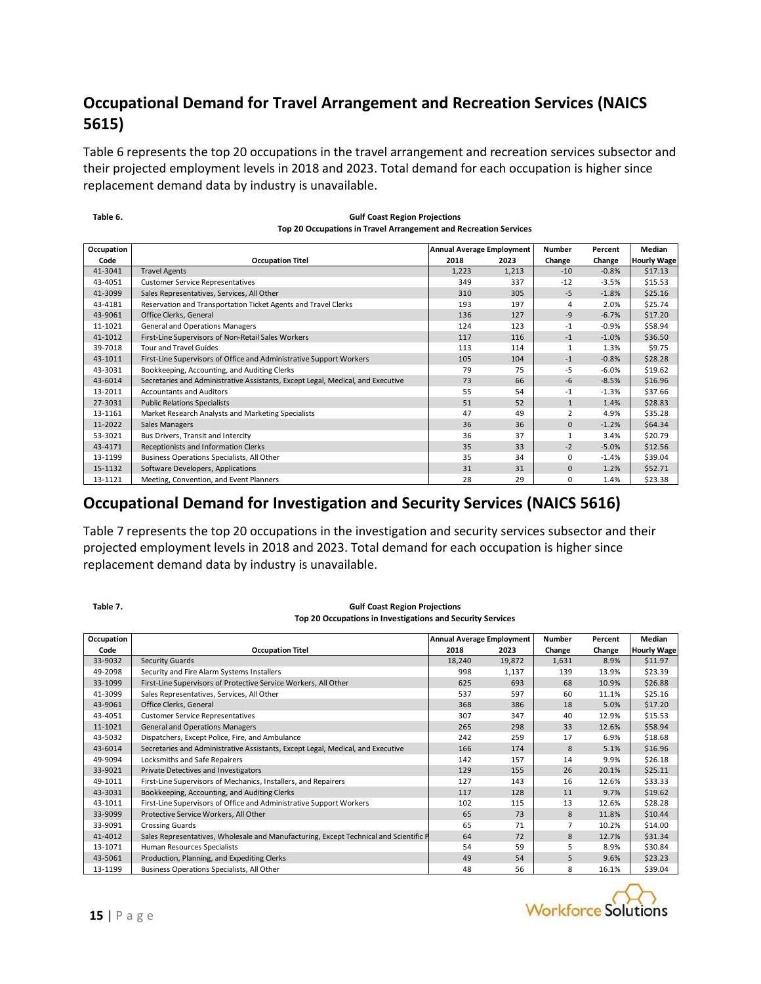### **Occupational Demand for Travel Arrangement and Recreation Services (NAICS 5615)**

Table 6 represents the top 20 occupations in the travel arrangement and recreation services subsector and their projected employment levels in 2018 and 2023. Total demand for each occupation is higher since replacement demand data by industry is unavailable.

**Table 6.**

| <b>Gulf Coast Region Projections</b>                             |
|------------------------------------------------------------------|
| Top 20 Occupations in Travel Arrangement and Recreation Services |

| Occupation |                                                                                 | <b>Annual Average Employment</b> |       | <b>Number</b>  | Percent | Median             |
|------------|---------------------------------------------------------------------------------|----------------------------------|-------|----------------|---------|--------------------|
| Code       | <b>Occupation Titel</b>                                                         | 2018                             | 2023  | Change         | Change  | <b>Hourly Wage</b> |
| 41-3041    | <b>Travel Agents</b>                                                            | 1.223                            | 1,213 | $-10$          | $-0.8%$ | \$17.13            |
| 43-4051    | <b>Customer Service Representatives</b>                                         | 349                              | 337   | $-12$          | $-3.5%$ | \$15.53            |
| 41-3099    | Sales Representatives, Services, All Other                                      | 310                              | 305   | $-5$           | $-1.8%$ | \$25.16            |
| 43-4181    | Reservation and Transportation Ticket Agents and Travel Clerks                  | 193                              | 197   | 4              | 2.0%    | \$25.74            |
| 43-9061    | Office Clerks, General                                                          | 136                              | 127   | $-9$           | $-6.7%$ | \$17.20            |
| 11-1021    | General and Operations Managers                                                 | 124                              | 123   | $-1$           | $-0.9%$ | \$58.94            |
| 41-1012    | First-Line Supervisors of Non-Retail Sales Workers                              | 117                              | 116   | $-1$           | $-1.0%$ | \$36.50            |
| 39-7018    | <b>Tour and Travel Guides</b>                                                   | 113                              | 114   | 1              | 1.3%    | \$9.75             |
| 43-1011    | First-Line Supervisors of Office and Administrative Support Workers             | 105                              | 104   | $-1$           | $-0.8%$ | \$28.28            |
| 43-3031    | Bookkeeping, Accounting, and Auditing Clerks                                    | 79                               | 75    | -5             | $-6.0%$ | \$19.62            |
| 43-6014    | Secretaries and Administrative Assistants, Except Legal, Medical, and Executive | 73                               | 66    | $-6$           | $-8.5%$ | \$16.96            |
| 13-2011    | <b>Accountants and Auditors</b>                                                 | 55                               | 54    | $-1$           | $-1.3%$ | \$37.66            |
| 27-3031    | <b>Public Relations Specialists</b>                                             | 51                               | 52    | $\mathbf{1}$   | 1.4%    | \$28.83            |
| 13-1161    | Market Research Analysts and Marketing Specialists                              | 47                               | 49    | $\overline{2}$ | 4.9%    | \$35.28            |
| 11-2022    | Sales Managers                                                                  | 36                               | 36    | $\mathbf{0}$   | $-1.2%$ | \$64.34            |
| 53-3021    | Bus Drivers, Transit and Intercity                                              | 36                               | 37    | 1              | 3.4%    | \$20.79            |
| 43-4171    | Receptionists and Information Clerks                                            | 35                               | 33    | $-2$           | $-5.0%$ | \$12.56            |
| 13-1199    | Business Operations Specialists, All Other                                      | 35                               | 34    | 0              | $-1.4%$ | \$39.04            |
| 15-1132    | Software Developers, Applications                                               | 31                               | 31    | $\mathbf{0}$   | 1.2%    | \$52.71            |
| 13-1121    | Meeting, Convention, and Event Planners                                         | 28                               | 29    | 0              | 1.4%    | \$23.38            |
|            | <b>Occupational Demand for Investigation and Security Services (NAICS 5616)</b> |                                  |       |                |         |                    |

Table 7 represents the top 20 occupations in the investigation and security services subsector and their projected employment levels in 2018 and 2023. Total demand for each occupation is higher since replacement demand data by industry is unavailable.

| Table 7.   | <b>Gulf Coast Region Projections</b>                                                  |                                  |        |                |         |                    |
|------------|---------------------------------------------------------------------------------------|----------------------------------|--------|----------------|---------|--------------------|
|            | Top 20 Occupations in Investigations and Security Services                            |                                  |        |                |         |                    |
| Occupation |                                                                                       | <b>Annual Average Employment</b> |        | Number         | Percent | Median             |
| Code       | <b>Occupation Titel</b>                                                               | 2018                             | 2023   | Change         | Change  | <b>Hourly Wage</b> |
| 33-9032    | Security Guards                                                                       | 18,240                           | 19,872 | 1,631          | 8.9%    | \$11.97            |
| 49-2098    | Security and Fire Alarm Systems Installers                                            | 998                              | 1,137  | 139            | 13.9%   | \$23.39            |
| 33-1099    | First-Line Supervisors of Protective Service Workers, All Other                       | 625                              | 693    | 68             | 10.9%   | \$26.88            |
| 41-3099    | Sales Representatives, Services, All Other                                            | 537                              | 597    | 60             | 11.1%   | \$25.16            |
| 43-9061    | Office Clerks, General                                                                | 368                              | 386    | 18             | 5.0%    | \$17.20            |
| 43-4051    | <b>Customer Service Representatives</b>                                               | 307                              | 347    | 40             | 12.9%   | \$15.53            |
| 11-1021    | <b>General and Operations Managers</b>                                                | 265                              | 298    | 33             | 12.6%   | \$58.94            |
| 43-5032    | Dispatchers, Except Police, Fire, and Ambulance                                       | 242                              | 259    | 17             | 6.9%    | \$18.68            |
| 43-6014    | Secretaries and Administrative Assistants, Except Legal, Medical, and Executive       | 166                              | 174    | 8              | 5.1%    | \$16.96            |
| 49-9094    | Locksmiths and Safe Repairers                                                         | 142                              | 157    | 14             | 9.9%    | \$26.18            |
| 33-9021    | <b>Private Detectives and Investigators</b>                                           | 129                              | 155    | 26             | 20.1%   | \$25.11            |
| 49-1011    | First-Line Supervisors of Mechanics, Installers, and Repairers                        | 127                              | 143    | 16             | 12.6%   | \$33.33            |
| 43-3031    | Bookkeeping, Accounting, and Auditing Clerks                                          | 117                              | 128    | 11             | 9.7%    | \$19.62            |
| 43-1011    | First-Line Supervisors of Office and Administrative Support Workers                   | 102                              | 115    | 13             | 12.6%   | \$28.28            |
| 33-9099    | Protective Service Workers, All Other                                                 | 65                               | 73     | 8              | 11.8%   | \$10.44            |
| 33-9091    | <b>Crossing Guards</b>                                                                | 65                               | 71     | $\overline{7}$ | 10.2%   | \$14.00            |
| 41-4012    | Sales Representatives, Wholesale and Manufacturing, Except Technical and Scientific P | 64                               | 72     | 8              | 12.7%   | \$31.34            |
| 13-1071    | Human Resources Specialists                                                           | 54                               | 59     | 5              | 8.9%    | \$30.84            |
| 43-5061    | Production, Planning, and Expediting Clerks                                           | 49                               | 54     | 5              | 9.6%    | \$23.23            |
| 13-1199    | Business Operations Specialists, All Other                                            | 48                               | 56     | 8              | 16.1%   | \$39.04            |
|            |                                                                                       |                                  |        |                |         |                    |

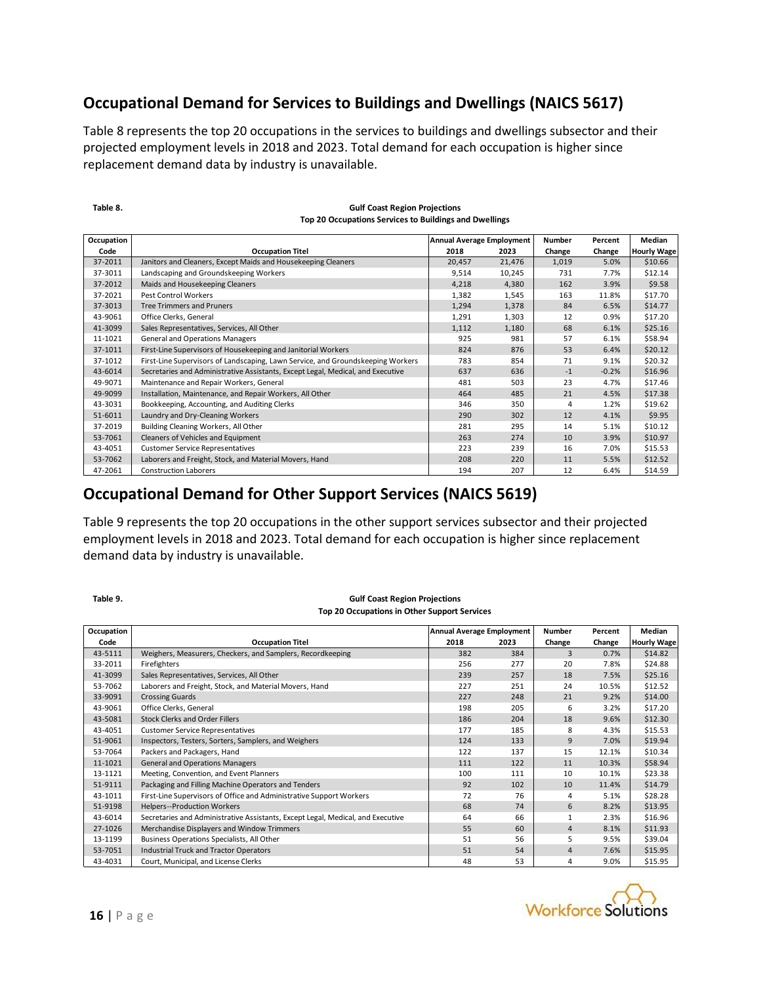#### **Occupational Demand for Services to Buildings and Dwellings (NAICS 5617)**

Table 8 represents the top 20 occupations in the services to buildings and dwellings subsector and their projected employment levels in 2018 and 2023. Total demand for each occupation is higher since replacement demand data by industry is unavailable.

| Occupation |                                                                                 | <b>Annual Average Employment</b> |        | Number | Percent | Median             |
|------------|---------------------------------------------------------------------------------|----------------------------------|--------|--------|---------|--------------------|
| Code       | <b>Occupation Titel</b>                                                         | 2018                             | 2023   | Change | Change  | <b>Hourly Wage</b> |
| 37-2011    | Janitors and Cleaners, Except Maids and Housekeeping Cleaners                   | 20,457                           | 21,476 | 1,019  | 5.0%    | \$10.66            |
| 37-3011    | Landscaping and Groundskeeping Workers                                          | 9,514                            | 10,245 | 731    | 7.7%    | \$12.14            |
| 37-2012    | Maids and Housekeeping Cleaners                                                 | 4,218                            | 4,380  | 162    | 3.9%    | \$9.58             |
| 37-2021    | Pest Control Workers                                                            | 1,382                            | 1,545  | 163    | 11.8%   | \$17.70            |
| 37-3013    | <b>Tree Trimmers and Pruners</b>                                                | 1,294                            | 1,378  | 84     | 6.5%    | \$14.77            |
| 43-9061    | Office Clerks, General                                                          | 1,291                            | 1,303  | 12     | 0.9%    | \$17.20            |
| 41-3099    | Sales Representatives, Services, All Other                                      | 1,112                            | 1,180  | 68     | 6.1%    | \$25.16            |
| 11-1021    | <b>General and Operations Managers</b>                                          | 925                              | 981    | 57     | 6.1%    | \$58.94            |
| 37-1011    | First-Line Supervisors of Housekeeping and Janitorial Workers                   | 824                              | 876    | 53     | 6.4%    | \$20.12            |
| 37-1012    | First-Line Supervisors of Landscaping, Lawn Service, and Groundskeeping Workers | 783                              | 854    | 71     | 9.1%    | \$20.32            |
| 43-6014    | Secretaries and Administrative Assistants, Except Legal, Medical, and Executive | 637                              | 636    | $-1$   | $-0.2%$ | \$16.96            |
| 49-9071    | Maintenance and Repair Workers, General                                         | 481                              | 503    | 23     | 4.7%    | \$17.46            |
| 49-9099    | Installation, Maintenance, and Repair Workers, All Other                        | 464                              | 485    | 21     | 4.5%    | \$17.38            |
| 43-3031    | Bookkeeping, Accounting, and Auditing Clerks                                    | 346                              | 350    | 4      | 1.2%    | \$19.62            |
| 51-6011    | Laundry and Dry-Cleaning Workers                                                | 290                              | 302    | 12     | 4.1%    | \$9.95             |
| 37-2019    | Building Cleaning Workers, All Other                                            | 281                              | 295    | 14     | 5.1%    | \$10.12            |
| 53-7061    | Cleaners of Vehicles and Equipment                                              | 263                              | 274    | 10     | 3.9%    | \$10.97            |
| 43-4051    | <b>Customer Service Representatives</b>                                         | 223                              | 239    | 16     | 7.0%    | \$15.53            |
| 53-7062    | Laborers and Freight, Stock, and Material Movers, Hand                          | 208                              | 220    | 11     | 5.5%    | \$12.52            |
| 47-2061    | <b>Construction Laborers</b>                                                    | 194                              | 207    | 12     | 6.4%    | \$14.59            |

#### **Gulf Coast Region Projections Top 20 Occupations Services to Buildings and Dwellings**

Table 9 represents the top 20 occupations in the other support services subsector and their projected employment levels in 2018 and 2023. Total demand for each occupation is higher since replacement demand data by industry is unavailable.

| Table 9.   | <b>Gulf Coast Region Projections</b><br>Top 20 Occupations in Other Support Services |                                  |      |                |         |                    |
|------------|--------------------------------------------------------------------------------------|----------------------------------|------|----------------|---------|--------------------|
| Occupation |                                                                                      | <b>Annual Average Employment</b> |      | Number         | Percent | Median             |
| Code       | <b>Occupation Titel</b>                                                              | 2018                             | 2023 | Change         | Change  | <b>Hourly Wage</b> |
| 43-5111    | Weighers, Measurers, Checkers, and Samplers, Recordkeeping                           | 382                              | 384  | $\overline{3}$ | 0.7%    | \$14.82            |
| 33-2011    | Firefighters                                                                         | 256                              | 277  | 20             | 7.8%    | \$24.88            |
| 41-3099    | Sales Representatives, Services, All Other                                           | 239                              | 257  | 18             | 7.5%    | \$25.16            |
| 53-7062    | Laborers and Freight, Stock, and Material Movers, Hand                               | 227                              | 251  | 24             | 10.5%   | \$12.52            |
| 33-9091    | <b>Crossing Guards</b>                                                               | 227                              | 248  | 21             | 9.2%    | \$14.00            |
| 43-9061    | Office Clerks, General                                                               | 198                              | 205  | 6              | 3.2%    | \$17.20            |
| 43-5081    | <b>Stock Clerks and Order Fillers</b>                                                | 186                              | 204  | 18             | 9.6%    | \$12.30            |
| 43-4051    | <b>Customer Service Representatives</b>                                              | 177                              | 185  | 8              | 4.3%    | \$15.53            |
| 51-9061    | Inspectors, Testers, Sorters, Samplers, and Weighers                                 | 124                              | 133  | 9              | 7.0%    | \$19.94            |
| 53-7064    | Packers and Packagers, Hand                                                          | 122                              | 137  | 15             | 12.1%   | \$10.34            |
| 11-1021    | <b>General and Operations Managers</b>                                               | 111                              | 122  | 11             | 10.3%   | \$58.94            |
| 13-1121    | Meeting, Convention, and Event Planners                                              | 100                              | 111  | 10             | 10.1%   | \$23.38            |
| 51-9111    | Packaging and Filling Machine Operators and Tenders                                  | 92                               | 102  | 10             | 11.4%   | \$14.79            |
| 43-1011    | First-Line Supervisors of Office and Administrative Support Workers                  | 72                               | 76   | 4              | 5.1%    | \$28.28            |
| 51-9198    | <b>Helpers--Production Workers</b>                                                   | 68                               | 74   | 6              | 8.2%    | \$13.95            |
| 43-6014    | Secretaries and Administrative Assistants, Except Legal, Medical, and Executive      | 64                               | 66   | $\mathbf{1}$   | 2.3%    | \$16.96            |
| 27-1026    | Merchandise Displayers and Window Trimmers                                           | 55                               | 60   | $\overline{4}$ | 8.1%    | \$11.93            |
| 13-1199    | Business Operations Specialists, All Other                                           | 51                               | 56   | 5              | 9.5%    | \$39.04            |
| 53-7051    | <b>Industrial Truck and Tractor Operators</b>                                        | 51                               | 54   | $\overline{4}$ | 7.6%    | \$15.95            |
| 43-4031    | Court, Municipal, and License Clerks                                                 | 48                               | 53   | 4              | 9.0%    | \$15.95            |





**Table 8.**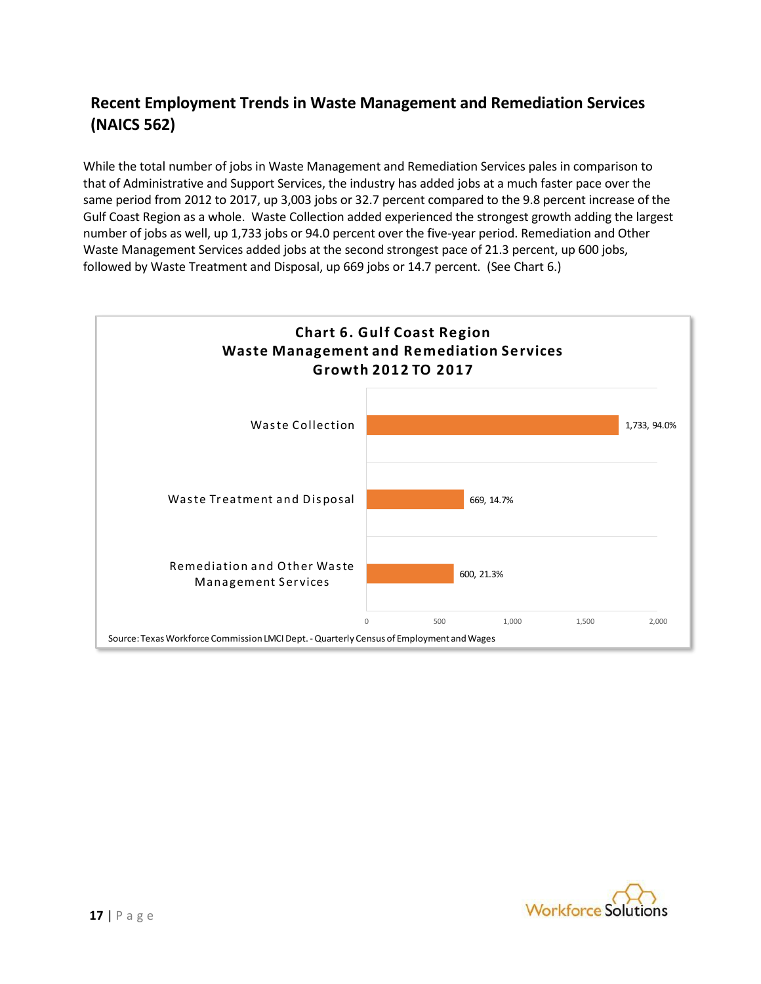### **Recent Employment Trends in Waste Management and Remediation Services (NAICS 562)**

While the total number of jobs in Waste Management and Remediation Services pales in comparison to that of Administrative and Support Services, the industry has added jobs at a much faster pace over the same period from 2012 to 2017, up 3,003 jobs or 32.7 percent compared to the 9.8 percent increase of the Gulf Coast Region as a whole. Waste Collection added experienced the strongest growth adding the largest number of jobs as well, up 1,733 jobs or 94.0 percent over the five-year period. Remediation and Other Waste Management Services added jobs at the second strongest pace of 21.3 percent, up 600 jobs, followed by Waste Treatment and Disposal, up 669 jobs or 14.7 percent. (See Chart 6.)



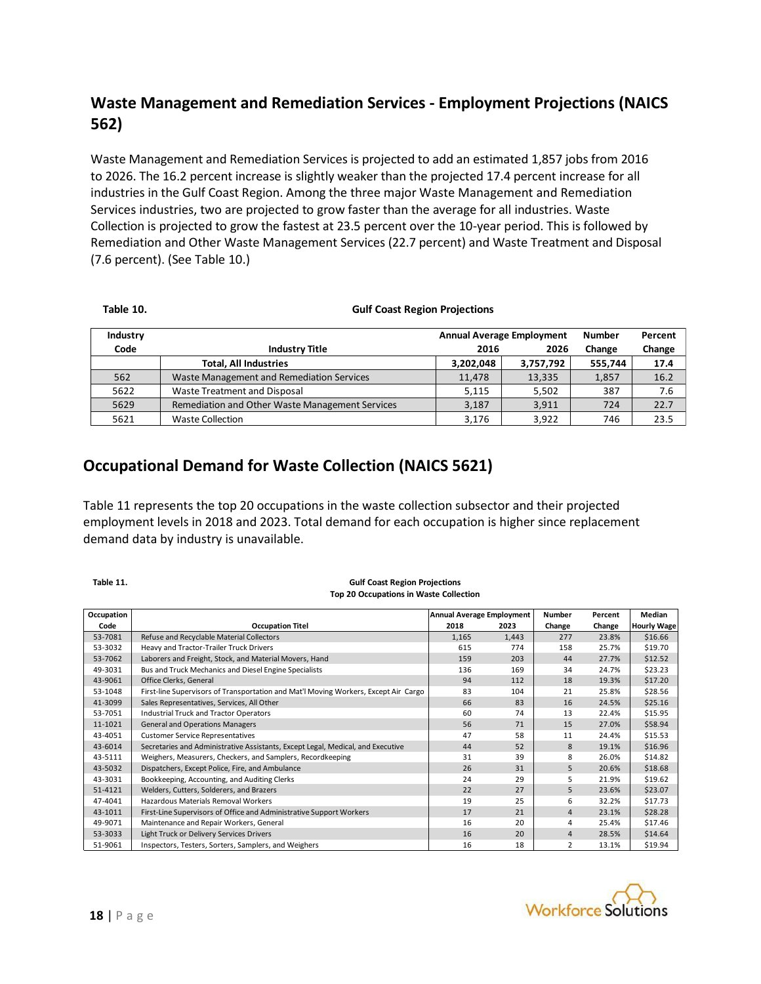### **Waste Management and Remediation Services - Employment Projections (NAICS 562)**

Waste Management and Remediation Services is projected to add an estimated 1,857 jobs from 2016 to 2026. The 16.2 percent increase is slightly weaker than the projected 17.4 percent increase for all industries in the Gulf Coast Region. Among the three major Waste Management and Remediation Services industries, two are projected to grow faster than the average for all industries. Waste Collection is projected to grow the fastest at 23.5 percent over the 10-year period. This is followed by Remediation and Other Waste Management Services (22.7 percent) and Waste Treatment and Disposal (7.6 percent). (See Table 10.)

#### **Table 10.**

#### **Gulf Coast Region Projections**

| Industry |                                                 |           | <b>Annual Average Employment</b> | <b>Number</b> | Percent |
|----------|-------------------------------------------------|-----------|----------------------------------|---------------|---------|
| Code     | <b>Industry Title</b>                           | 2016      | 2026                             | Change        | Change  |
|          | <b>Total, All Industries</b>                    | 3,202,048 | 3,757,792                        | 555,744       | 17.4    |
| 562      | Waste Management and Remediation Services       | 11.478    | 13,335                           | 1,857         | 16.2    |
| 5622     | Waste Treatment and Disposal                    | 5.115     | 5.502                            | 387           | 7.6     |
| 5629     | Remediation and Other Waste Management Services | 3,187     | 3,911                            | 724           | 22.7    |
| 5621     | <b>Waste Collection</b>                         | 3,176     | 3.922                            | 746           | 23.5    |

#### **Occupational Demand for Waste Collection (NAICS 5621)**

Table 11 represents the top 20 occupations in the waste collection subsector and their projected employment levels in 2018 and 2023. Total demand for each occupation is higher since replacement demand data by industry is unavailable.

#### **Table 11.**

#### **Gulf Coast Region Projections Top 20 Occupations in Waste Collection**

| Table 11.  | <b>Gulf Coast Region Projections</b>                                                |                                  |       |                |         |                    |
|------------|-------------------------------------------------------------------------------------|----------------------------------|-------|----------------|---------|--------------------|
|            | <b>Top 20 Occupations in Waste Collection</b>                                       |                                  |       |                |         |                    |
| Occupation |                                                                                     | <b>Annual Average Employment</b> |       | Number         | Percent | Median             |
| Code       | <b>Occupation Titel</b>                                                             | 2018                             | 2023  | Change         | Change  | <b>Hourly Wage</b> |
| 53-7081    | Refuse and Recyclable Material Collectors                                           | 1,165                            | 1,443 | 277            | 23.8%   | \$16.66            |
| 53-3032    | Heavy and Tractor-Trailer Truck Drivers                                             | 615                              | 774   | 158            | 25.7%   | \$19.70            |
| 53-7062    | Laborers and Freight, Stock, and Material Movers, Hand                              | 159                              | 203   | 44             | 27.7%   | \$12.52            |
| 49-3031    | Bus and Truck Mechanics and Diesel Engine Specialists                               | 136                              | 169   | 34             | 24.7%   | \$23.23            |
| 43-9061    | Office Clerks, General                                                              | 94                               | 112   | 18             | 19.3%   | \$17.20            |
| 53-1048    | First-line Supervisors of Transportation and Mat'l Moving Workers, Except Air Cargo | 83                               | 104   | 21             | 25.8%   | \$28.56            |
| 41-3099    | Sales Representatives, Services, All Other                                          | 66                               | 83    | 16             | 24.5%   | \$25.16            |
| 53-7051    | <b>Industrial Truck and Tractor Operators</b>                                       | 60                               | 74    | 13             | 22.4%   | \$15.95            |
| 11-1021    | <b>General and Operations Managers</b>                                              | 56                               | 71    | 15             | 27.0%   | \$58.94            |
| 43-4051    | <b>Customer Service Representatives</b>                                             | 47                               | 58    | 11             | 24.4%   | \$15.53            |
| 43-6014    | Secretaries and Administrative Assistants, Except Legal, Medical, and Executive     | 44                               | 52    | 8              | 19.1%   | \$16.96            |
| 43-5111    | Weighers, Measurers, Checkers, and Samplers, Recordkeeping                          | 31                               | 39    | 8              | 26.0%   | \$14.82            |
| 43-5032    | Dispatchers, Except Police, Fire, and Ambulance                                     | 26                               | 31    | 5              | 20.6%   | \$18.68            |
| 43-3031    | Bookkeeping, Accounting, and Auditing Clerks                                        | 24                               | 29    | 5              | 21.9%   | \$19.62            |
| 51-4121    | Welders, Cutters, Solderers, and Brazers                                            | 22                               | 27    | 5              | 23.6%   | \$23.07            |
| 47-4041    | Hazardous Materials Removal Workers                                                 | 19                               | 25    | 6              | 32.2%   | \$17.73            |
| 43-1011    | First-Line Supervisors of Office and Administrative Support Workers                 | 17                               | 21    | $\overline{4}$ | 23.1%   | \$28.28            |
| 49-9071    | Maintenance and Repair Workers, General                                             | 16                               | 20    | 4              | 25.4%   | \$17.46            |
| 53-3033    | Light Truck or Delivery Services Drivers                                            | 16                               | 20    | $\overline{4}$ | 28.5%   | \$14.64            |
| 51-9061    | Inspectors, Testers, Sorters, Samplers, and Weighers                                | 16                               | 18    | $\overline{2}$ | 13.1%   | \$19.94            |
|            |                                                                                     |                                  |       |                |         |                    |
|            |                                                                                     |                                  |       |                |         |                    |

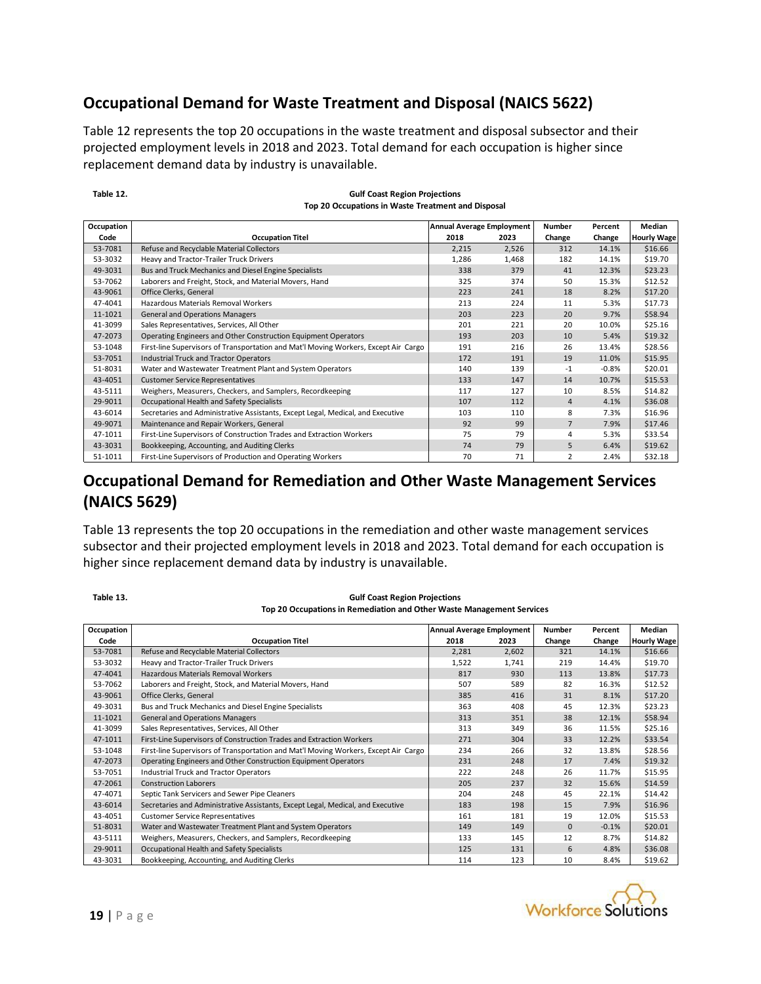### **Occupational Demand for Waste Treatment and Disposal (NAICS 5622)**

Table 12 represents the top 20 occupations in the waste treatment and disposal subsector and their projected employment levels in 2018 and 2023. Total demand for each occupation is higher since replacement demand data by industry is unavailable.

| Occupation |                                                                                     | Annual Average Employment |       | <b>Number</b>  | Percent | Median             |
|------------|-------------------------------------------------------------------------------------|---------------------------|-------|----------------|---------|--------------------|
| Code       | <b>Occupation Titel</b>                                                             | 2018                      | 2023  | Change         | Change  | <b>Hourly Wage</b> |
| 53-7081    | Refuse and Recyclable Material Collectors                                           | 2,215                     | 2,526 | 312            | 14.1%   | \$16.66            |
| 53-3032    | Heavy and Tractor-Trailer Truck Drivers                                             | 1,286                     | 1,468 | 182            | 14.1%   | \$19.70            |
| 49-3031    | Bus and Truck Mechanics and Diesel Engine Specialists                               | 338                       | 379   | 41             | 12.3%   | \$23.23            |
| 53-7062    | Laborers and Freight, Stock, and Material Movers, Hand                              | 325                       | 374   | 50             | 15.3%   | \$12.52            |
| 43-9061    | Office Clerks, General                                                              | 223                       | 241   | 18             | 8.2%    | \$17.20            |
| 47-4041    | Hazardous Materials Removal Workers                                                 | 213                       | 224   | 11             | 5.3%    | \$17.73            |
| 11-1021    | <b>General and Operations Managers</b>                                              | 203                       | 223   | 20             | 9.7%    | \$58.94            |
| 41-3099    | Sales Representatives, Services, All Other                                          | 201                       | 221   | 20             | 10.0%   | \$25.16            |
| 47-2073    | Operating Engineers and Other Construction Equipment Operators                      | 193                       | 203   | 10             | 5.4%    | \$19.32            |
| 53-1048    | First-line Supervisors of Transportation and Mat'l Moving Workers, Except Air Cargo | 191                       | 216   | 26             | 13.4%   | \$28.56            |
| 53-7051    | <b>Industrial Truck and Tractor Operators</b>                                       | 172                       | 191   | 19             | 11.0%   | \$15.95            |
| 51-8031    | Water and Wastewater Treatment Plant and System Operators                           | 140                       | 139   | $-1$           | $-0.8%$ | \$20.01            |
| 43-4051    | <b>Customer Service Representatives</b>                                             | 133                       | 147   | 14             | 10.7%   | \$15.53            |
| 43-5111    | Weighers, Measurers, Checkers, and Samplers, Recordkeeping                          | 117                       | 127   | 10             | 8.5%    | \$14.82            |
| 29-9011    | Occupational Health and Safety Specialists                                          | 107                       | 112   | $\overline{4}$ | 4.1%    | \$36.08            |
| 43-6014    | Secretaries and Administrative Assistants, Except Legal, Medical, and Executive     | 103                       | 110   | 8              | 7.3%    | \$16.96            |
| 49-9071    | Maintenance and Repair Workers, General                                             | 92                        | 99    | $\overline{7}$ | 7.9%    | \$17.46            |
| 47-1011    | First-Line Supervisors of Construction Trades and Extraction Workers                | 75                        | 79    | 4              | 5.3%    | \$33.54            |
| 43-3031    | Bookkeeping, Accounting, and Auditing Clerks                                        | 74                        | 79    | 5              | 6.4%    | \$19.62            |
| 51-1011    | First-Line Supervisors of Production and Operating Workers                          | 70                        | 71    | $\overline{2}$ | 2.4%    | \$32.18            |

#### **Gulf Coast Region Projections Top 20 Occupations in Waste Treatment and Disposal**

# **(NAICS 5629)**

Table 13 represents the top 20 occupations in the remediation and other waste management services subsector and their projected employment levels in 2018 and 2023. Total demand for each occupation is higher since replacement demand data by industry is unavailable.

| Occupation |                                                                                     | <b>Annual Average Employment</b> |       | <b>Number</b> | Percent | Median             |
|------------|-------------------------------------------------------------------------------------|----------------------------------|-------|---------------|---------|--------------------|
| Code       | <b>Occupation Titel</b>                                                             | 2018                             | 2023  | Change        | Change  | <b>Hourly Wage</b> |
| 53-7081    | Refuse and Recyclable Material Collectors                                           | 2,281                            | 2,602 | 321           | 14.1%   | \$16.66            |
| 53-3032    | Heavy and Tractor-Trailer Truck Drivers                                             | 1,522                            | 1,741 | 219           | 14.4%   | \$19.70            |
| 47-4041    | Hazardous Materials Removal Workers                                                 | 817                              | 930   | 113           | 13.8%   | \$17.73            |
| 53-7062    | Laborers and Freight, Stock, and Material Movers, Hand                              | 507                              | 589   | 82            | 16.3%   | \$12.52            |
| 43-9061    | Office Clerks, General                                                              | 385                              | 416   | 31            | 8.1%    | \$17.20            |
| 49-3031    | Bus and Truck Mechanics and Diesel Engine Specialists                               | 363                              | 408   | 45            | 12.3%   | \$23.23            |
| 11-1021    | <b>General and Operations Managers</b>                                              | 313                              | 351   | 38            | 12.1%   | \$58.94            |
| 41-3099    | Sales Representatives, Services, All Other                                          | 313                              | 349   | 36            | 11.5%   | \$25.16            |
| 47-1011    | First-Line Supervisors of Construction Trades and Extraction Workers                | 271                              | 304   | 33            | 12.2%   | \$33.54            |
| 53-1048    | First-line Supervisors of Transportation and Mat'l Moving Workers, Except Air Cargo | 234                              | 266   | 32            | 13.8%   | \$28.56            |
| 47-2073    | Operating Engineers and Other Construction Equipment Operators                      | 231                              | 248   | 17            | 7.4%    | \$19.32            |
| 53-7051    | <b>Industrial Truck and Tractor Operators</b>                                       | 222                              | 248   | 26            | 11.7%   | \$15.95            |
| 47-2061    | <b>Construction Laborers</b>                                                        | 205                              | 237   | 32            | 15.6%   | \$14.59            |
| 47-4071    | Septic Tank Servicers and Sewer Pipe Cleaners                                       | 204                              | 248   | 45            | 22.1%   | \$14.42            |
| 43-6014    | Secretaries and Administrative Assistants, Except Legal, Medical, and Executive     | 183                              | 198   | 15            | 7.9%    | \$16.96            |
| 43-4051    | <b>Customer Service Representatives</b>                                             | 161                              | 181   | 19            | 12.0%   | \$15.53            |
| 51-8031    | Water and Wastewater Treatment Plant and System Operators                           | 149                              | 149   | $\mathbf{0}$  | $-0.1%$ | \$20.01            |
| 43-5111    | Weighers, Measurers, Checkers, and Samplers, Recordkeeping                          | 133                              | 145   | 12            | 8.7%    | \$14.82            |
| 29-9011    | Occupational Health and Safety Specialists                                          | 125                              | 131   | 6             | 4.8%    | \$36.08            |
| 43-3031    | Bookkeeping, Accounting, and Auditing Clerks                                        | 114                              | 123   | 10            | 8.4%    | \$19.62            |

**Gulf Coast Region Projections Top 20 Occupations in Remediation and Other Waste Management Services**



**Table 13.**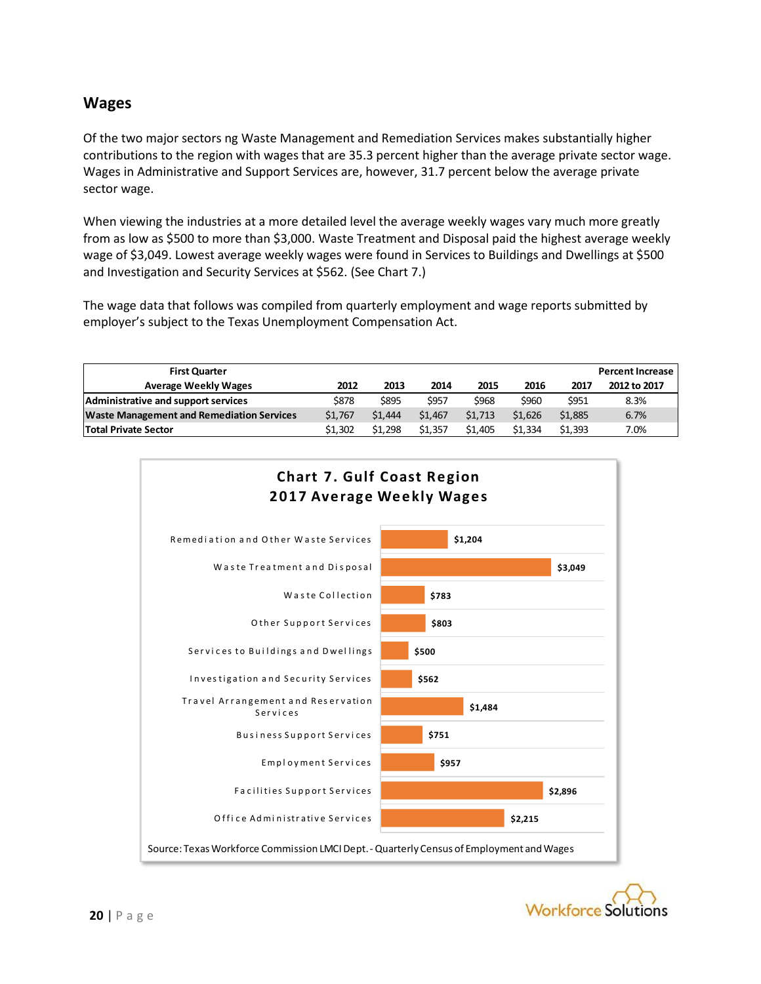#### **Wages**

Of the two major sectors ng Waste Management and Remediation Services makes substantially higher contributions to the region with wages that are 35.3 percent higher than the average private sector wage. Wages in Administrative and Support Services are, however, 31.7 percent below the average private sector wage.

When viewing the industries at a more detailed level the average weekly wages vary much more greatly from as low as \$500 to more than \$3,000. Waste Treatment and Disposal paid the highest average weekly wage of \$3,049. Lowest average weekly wages were found in Services to Buildings and Dwellings at \$500 and Investigation and Security Services at \$562. (See Chart 7.)

The wage data that follows was compiled from quarterly employment and wage reports submitted by employer's subject to the Texas Unemployment Compensation Act.

| <b>First Quarter</b>                             |         |         |         |         |         |         | <b>Percent Increase</b> |
|--------------------------------------------------|---------|---------|---------|---------|---------|---------|-------------------------|
| <b>Average Weekly Wages</b>                      | 2012    | 2013    | 2014    | 2015    | 2016    | 2017    | 2012 to 2017            |
| Administrative and support services              | \$878   | \$895   | \$957   | \$968   | \$960   | \$951   | 8.3%                    |
| <b>Waste Management and Remediation Services</b> | \$1,767 | \$1,444 | \$1,467 | \$1,713 | \$1.626 | \$1,885 | 6.7%                    |
| <b>Total Private Sector</b>                      | \$1.302 | \$1.298 | \$1.357 | \$1,405 | \$1.334 | \$1.393 | 7.0%                    |